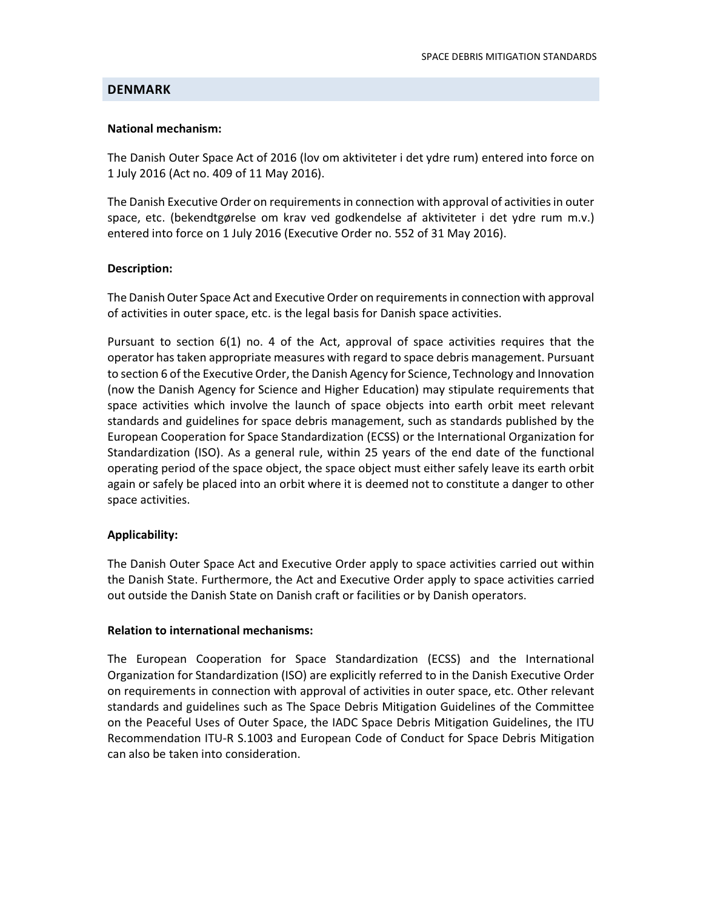### DENMARK

### National mechanism:

The Danish Outer Space Act of 2016 (lov om aktiviteter i det ydre rum) entered into force on 1 July 2016 (Act no. 409 of 11 May 2016).

The Danish Executive Order on requirements in connection with approval of activities in outer space, etc. (bekendtgørelse om krav ved godkendelse af aktiviteter i det ydre rum m.v.) entered into force on 1 July 2016 (Executive Order no. 552 of 31 May 2016).

### Description:

The Danish Outer Space Act and Executive Order on requirements in connection with approval of activities in outer space, etc. is the legal basis for Danish space activities.

Pursuant to section 6(1) no. 4 of the Act, approval of space activities requires that the operator has taken appropriate measures with regard to space debris management. Pursuant to section 6 of the Executive Order, the Danish Agency for Science, Technology and Innovation (now the Danish Agency for Science and Higher Education) may stipulate requirements that space activities which involve the launch of space objects into earth orbit meet relevant standards and guidelines for space debris management, such as standards published by the European Cooperation for Space Standardization (ECSS) or the International Organization for Standardization (ISO). As a general rule, within 25 years of the end date of the functional operating period of the space object, the space object must either safely leave its earth orbit again or safely be placed into an orbit where it is deemed not to constitute a danger to other space activities.

### Applicability:

The Danish Outer Space Act and Executive Order apply to space activities carried out within the Danish State. Furthermore, the Act and Executive Order apply to space activities carried out outside the Danish State on Danish craft or facilities or by Danish operators.

# Relation to international mechanisms:

The European Cooperation for Space Standardization (ECSS) and the International Organization for Standardization (ISO) are explicitly referred to in the Danish Executive Order on requirements in connection with approval of activities in outer space, etc. Other relevant standards and guidelines such as The Space Debris Mitigation Guidelines of the Committee on the Peaceful Uses of Outer Space, the IADC Space Debris Mitigation Guidelines, the ITU Recommendation ITU-R S.1003 and European Code of Conduct for Space Debris Mitigation can also be taken into consideration.